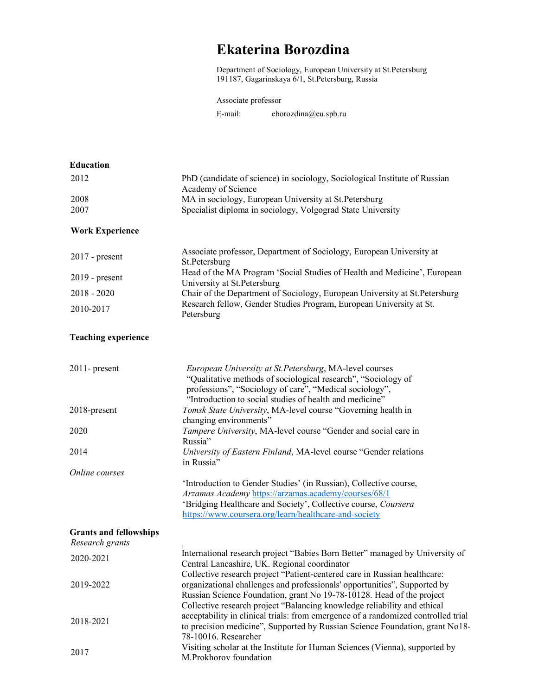## Ekaterina Borozdina

Department of Sociology, European University at St.Petersburg 191187, Gagarinskaya 6/1, St.Petersburg, Russia

## Associate professor

E-mail: eborozdina@eu.spb.ru

| <b>Education</b>                                 |                                                                                                                                                   |
|--------------------------------------------------|---------------------------------------------------------------------------------------------------------------------------------------------------|
| 2012                                             | PhD (candidate of science) in sociology, Sociological Institute of Russian                                                                        |
|                                                  | Academy of Science                                                                                                                                |
| 2008<br>2007                                     | MA in sociology, European University at St. Petersburg<br>Specialist diploma in sociology, Volgograd State University                             |
|                                                  |                                                                                                                                                   |
| <b>Work Experience</b>                           |                                                                                                                                                   |
|                                                  | Associate professor, Department of Sociology, European University at                                                                              |
| $2017$ - present                                 | St.Petersburg                                                                                                                                     |
| $2019$ - present                                 | Head of the MA Program 'Social Studies of Health and Medicine', European                                                                          |
| $2018 - 2020$                                    | University at St. Petersburg<br>Chair of the Department of Sociology, European University at St.Petersburg                                        |
|                                                  | Research fellow, Gender Studies Program, European University at St.                                                                               |
| 2010-2017                                        | Petersburg                                                                                                                                        |
| <b>Teaching experience</b>                       |                                                                                                                                                   |
|                                                  |                                                                                                                                                   |
| $2011$ - present                                 | European University at St. Petersburg, MA-level courses                                                                                           |
|                                                  | "Qualitative methods of sociological research", "Sociology of<br>professions", "Sociology of care", "Medical sociology",                          |
|                                                  | "Introduction to social studies of health and medicine"                                                                                           |
| 2018-present                                     | Tomsk State University, MA-level course "Governing health in                                                                                      |
|                                                  | changing environments"                                                                                                                            |
| 2020                                             | Tampere University, MA-level course "Gender and social care in<br>Russia"                                                                         |
| 2014                                             | University of Eastern Finland, MA-level course "Gender relations                                                                                  |
|                                                  | in Russia"                                                                                                                                        |
| Online courses                                   |                                                                                                                                                   |
|                                                  | 'Introduction to Gender Studies' (in Russian), Collective course,                                                                                 |
|                                                  | Arzamas Academy https://arzamas.academy/courses/68/1<br>'Bridging Healthcare and Society', Collective course, Coursera                            |
|                                                  | https://www.coursera.org/learn/healthcare-and-society                                                                                             |
|                                                  |                                                                                                                                                   |
| <b>Grants and fellowships</b><br>Research grants |                                                                                                                                                   |
|                                                  | International research project "Babies Born Better" managed by University of                                                                      |
| 2020-2021                                        | Central Lancashire, UK. Regional coordinator                                                                                                      |
|                                                  | Collective research project "Patient-centered care in Russian healthcare:                                                                         |
| 2019-2022                                        | organizational challenges and professionals' opportunities", Supported by                                                                         |
|                                                  | Russian Science Foundation, grant No 19-78-10128. Head of the project<br>Collective research project "Balancing knowledge reliability and ethical |
|                                                  | acceptability in clinical trials: from emergence of a randomized controlled trial                                                                 |
| 2018-2021                                        | to precision medicine", Supported by Russian Science Foundation, grant No18-                                                                      |
|                                                  | 78-10016. Researcher                                                                                                                              |
| 2017                                             | Visiting scholar at the Institute for Human Sciences (Vienna), supported by                                                                       |
|                                                  | M.Prokhorov foundation                                                                                                                            |